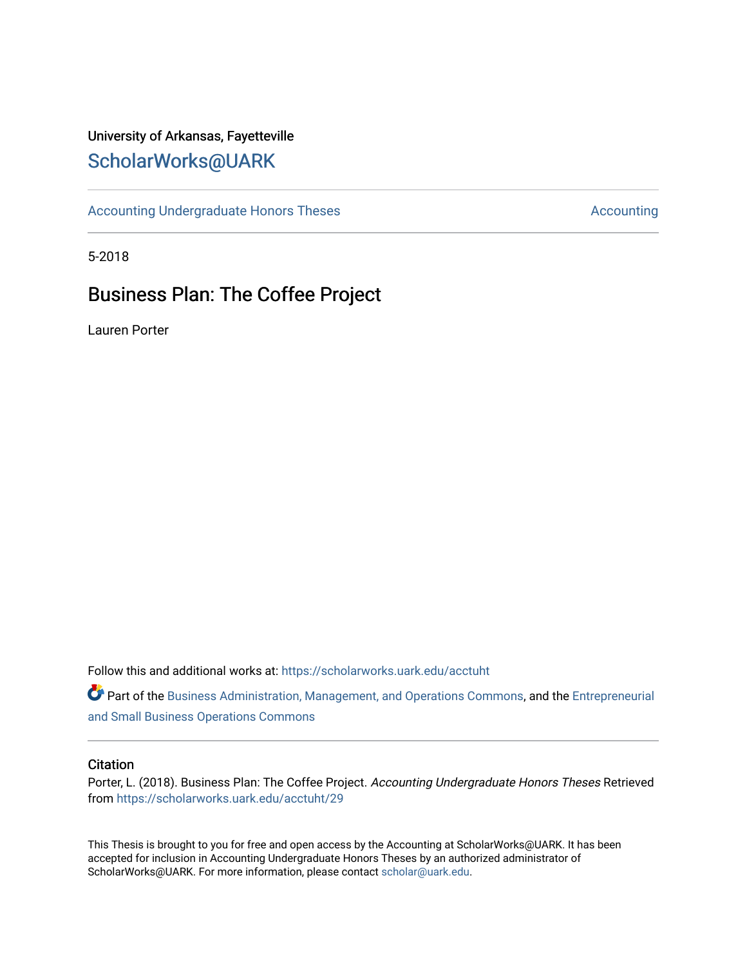# University of Arkansas, Fayetteville [ScholarWorks@UARK](https://scholarworks.uark.edu/)

[Accounting Undergraduate Honors Theses](https://scholarworks.uark.edu/acctuht) [Accounting](https://scholarworks.uark.edu/acct) Accounting

5-2018

# Business Plan: The Coffee Project

Lauren Porter

Follow this and additional works at: [https://scholarworks.uark.edu/acctuht](https://scholarworks.uark.edu/acctuht?utm_source=scholarworks.uark.edu%2Facctuht%2F29&utm_medium=PDF&utm_campaign=PDFCoverPages) 

Part of the [Business Administration, Management, and Operations Commons](http://network.bepress.com/hgg/discipline/623?utm_source=scholarworks.uark.edu%2Facctuht%2F29&utm_medium=PDF&utm_campaign=PDFCoverPages), and the [Entrepreneurial](http://network.bepress.com/hgg/discipline/630?utm_source=scholarworks.uark.edu%2Facctuht%2F29&utm_medium=PDF&utm_campaign=PDFCoverPages)  [and Small Business Operations Commons](http://network.bepress.com/hgg/discipline/630?utm_source=scholarworks.uark.edu%2Facctuht%2F29&utm_medium=PDF&utm_campaign=PDFCoverPages) 

#### **Citation**

Porter, L. (2018). Business Plan: The Coffee Project. Accounting Undergraduate Honors Theses Retrieved from [https://scholarworks.uark.edu/acctuht/29](https://scholarworks.uark.edu/acctuht/29?utm_source=scholarworks.uark.edu%2Facctuht%2F29&utm_medium=PDF&utm_campaign=PDFCoverPages) 

This Thesis is brought to you for free and open access by the Accounting at ScholarWorks@UARK. It has been accepted for inclusion in Accounting Undergraduate Honors Theses by an authorized administrator of ScholarWorks@UARK. For more information, please contact [scholar@uark.edu](mailto:scholar@uark.edu).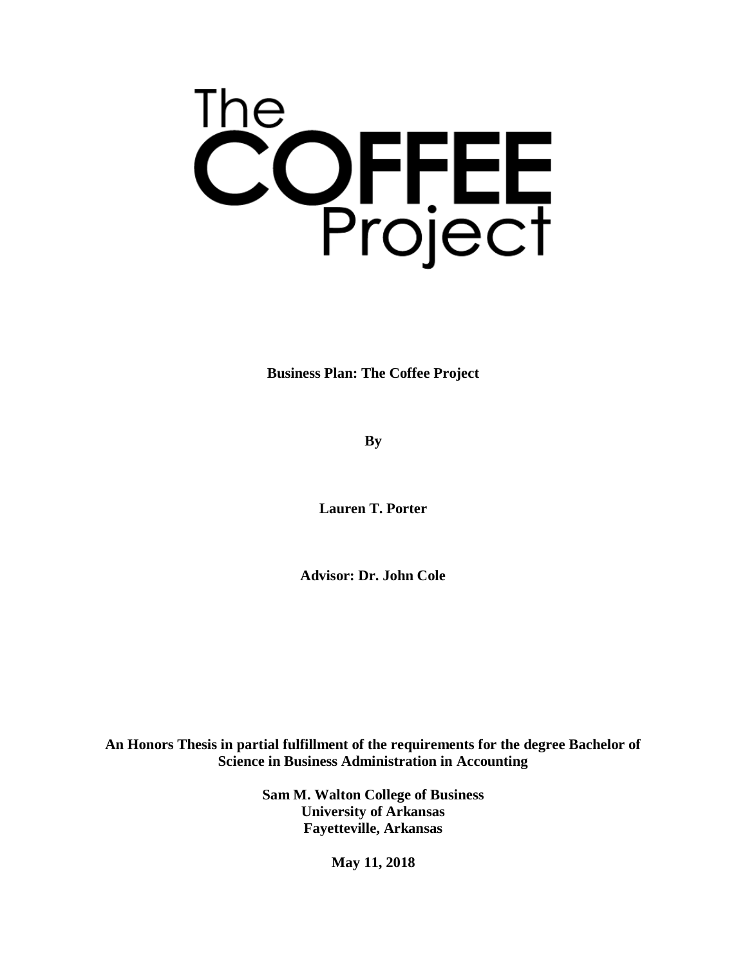

**Business Plan: The Coffee Project**

**By**

**Lauren T. Porter**

**Advisor: Dr. John Cole**

**An Honors Thesis in partial fulfillment of the requirements for the degree Bachelor of Science in Business Administration in Accounting**

> **Sam M. Walton College of Business University of Arkansas Fayetteville, Arkansas**

> > **May 11, 2018**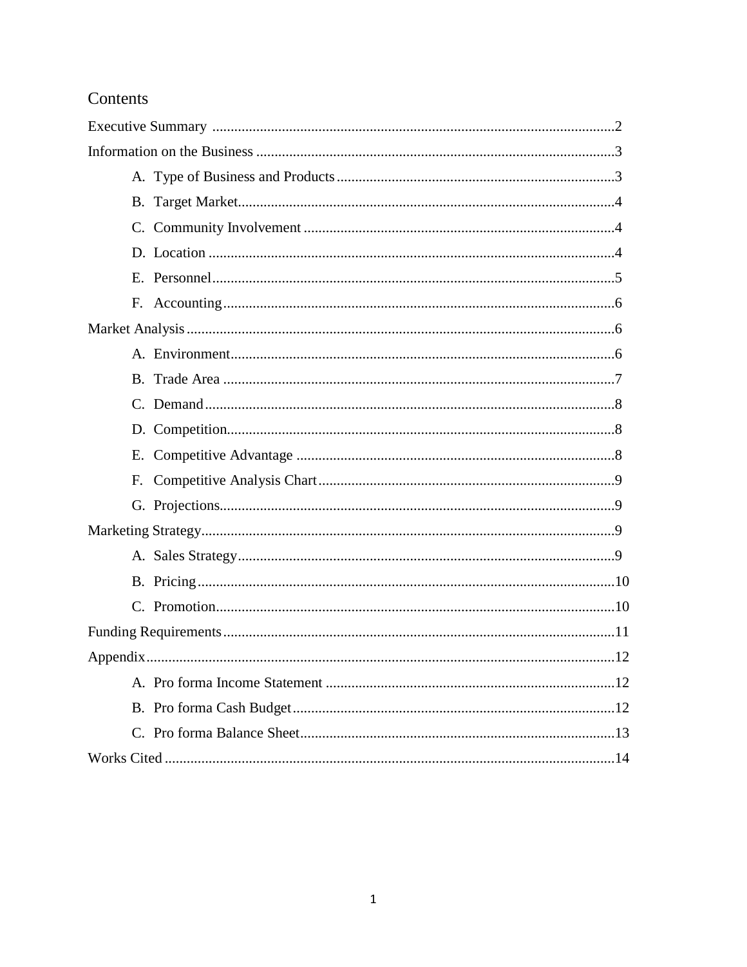# Contents

| F. |
|----|
|    |
|    |
|    |
|    |
|    |
|    |
|    |
|    |
|    |
|    |
|    |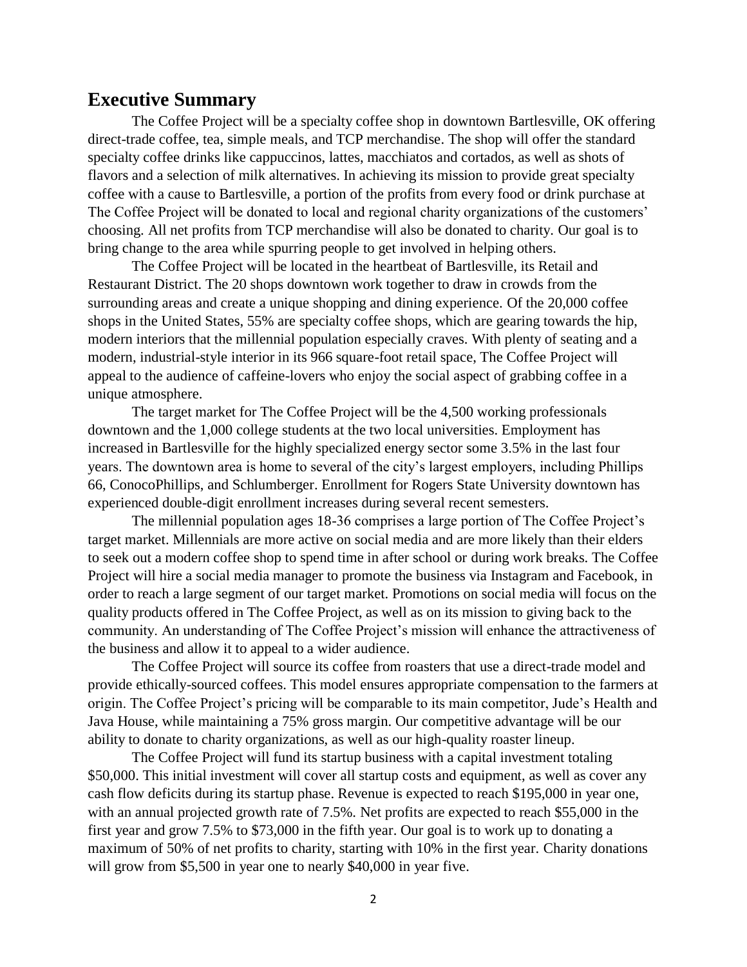## **Executive Summary**

The Coffee Project will be a specialty coffee shop in downtown Bartlesville, OK offering direct-trade coffee, tea, simple meals, and TCP merchandise. The shop will offer the standard specialty coffee drinks like cappuccinos, lattes, macchiatos and cortados, as well as shots of flavors and a selection of milk alternatives. In achieving its mission to provide great specialty coffee with a cause to Bartlesville, a portion of the profits from every food or drink purchase at The Coffee Project will be donated to local and regional charity organizations of the customers' choosing. All net profits from TCP merchandise will also be donated to charity. Our goal is to bring change to the area while spurring people to get involved in helping others.

The Coffee Project will be located in the heartbeat of Bartlesville, its Retail and Restaurant District. The 20 shops downtown work together to draw in crowds from the surrounding areas and create a unique shopping and dining experience. Of the 20,000 coffee shops in the United States, 55% are specialty coffee shops, which are gearing towards the hip, modern interiors that the millennial population especially craves. With plenty of seating and a modern, industrial-style interior in its 966 square-foot retail space, The Coffee Project will appeal to the audience of caffeine-lovers who enjoy the social aspect of grabbing coffee in a unique atmosphere.

The target market for The Coffee Project will be the 4,500 working professionals downtown and the 1,000 college students at the two local universities. Employment has increased in Bartlesville for the highly specialized energy sector some 3.5% in the last four years. The downtown area is home to several of the city's largest employers, including Phillips 66, ConocoPhillips, and Schlumberger. Enrollment for Rogers State University downtown has experienced double-digit enrollment increases during several recent semesters.

The millennial population ages 18-36 comprises a large portion of The Coffee Project's target market. Millennials are more active on social media and are more likely than their elders to seek out a modern coffee shop to spend time in after school or during work breaks. The Coffee Project will hire a social media manager to promote the business via Instagram and Facebook, in order to reach a large segment of our target market. Promotions on social media will focus on the quality products offered in The Coffee Project, as well as on its mission to giving back to the community. An understanding of The Coffee Project's mission will enhance the attractiveness of the business and allow it to appeal to a wider audience.

The Coffee Project will source its coffee from roasters that use a direct-trade model and provide ethically-sourced coffees. This model ensures appropriate compensation to the farmers at origin. The Coffee Project's pricing will be comparable to its main competitor, Jude's Health and Java House, while maintaining a 75% gross margin. Our competitive advantage will be our ability to donate to charity organizations, as well as our high-quality roaster lineup.

The Coffee Project will fund its startup business with a capital investment totaling \$50,000. This initial investment will cover all startup costs and equipment, as well as cover any cash flow deficits during its startup phase. Revenue is expected to reach \$195,000 in year one, with an annual projected growth rate of 7.5%. Net profits are expected to reach \$55,000 in the first year and grow 7.5% to \$73,000 in the fifth year. Our goal is to work up to donating a maximum of 50% of net profits to charity, starting with 10% in the first year. Charity donations will grow from \$5,500 in year one to nearly \$40,000 in year five.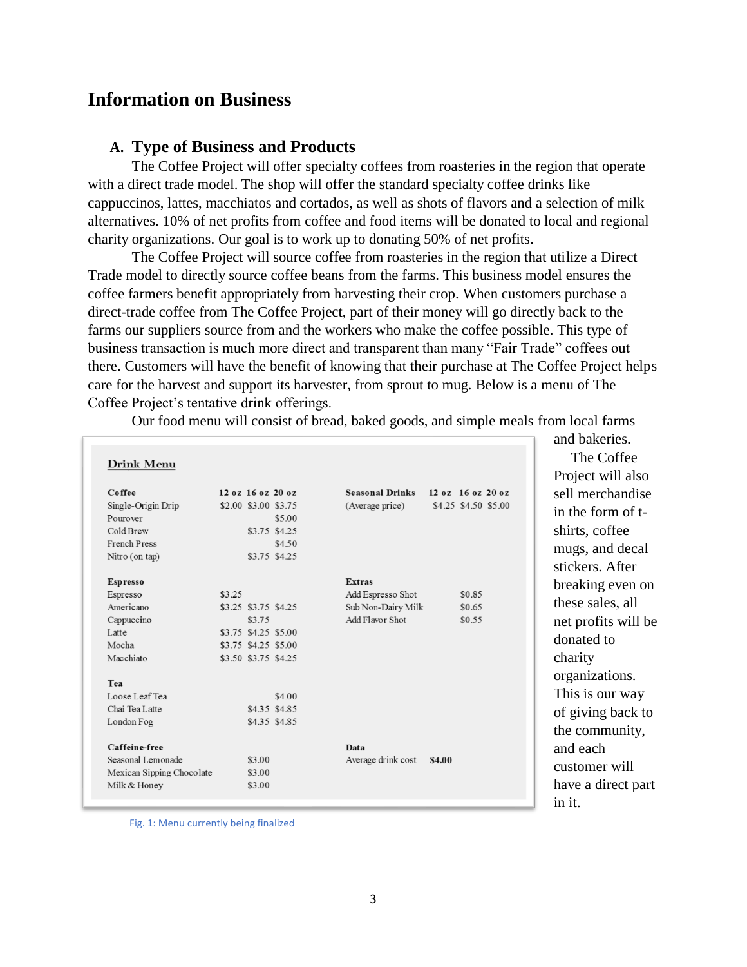## **Information on Business**

#### **A. Type of Business and Products**

The Coffee Project will offer specialty coffees from roasteries in the region that operate with a direct trade model. The shop will offer the standard specialty coffee drinks like cappuccinos, lattes, macchiatos and cortados, as well as shots of flavors and a selection of milk alternatives. 10% of net profits from coffee and food items will be donated to local and regional charity organizations. Our goal is to work up to donating 50% of net profits.

The Coffee Project will source coffee from roasteries in the region that utilize a Direct Trade model to directly source coffee beans from the farms. This business model ensures the coffee farmers benefit appropriately from harvesting their crop. When customers purchase a direct-trade coffee from The Coffee Project, part of their money will go directly back to the farms our suppliers source from and the workers who make the coffee possible. This type of business transaction is much more direct and transparent than many "Fair Trade" coffees out there. Customers will have the benefit of knowing that their purchase at The Coffee Project helps care for the harvest and support its harvester, from sprout to mug. Below is a menu of The Coffee Project's tentative drink offerings.

Our food menu will consist of bread, baked goods, and simple meals from local farms

| Drink Menu                |        |                      |               |                        |        |                      |
|---------------------------|--------|----------------------|---------------|------------------------|--------|----------------------|
| <b>Coffee</b>             |        | 12 oz 16 oz 20 oz    |               | <b>Seasonal Drinks</b> |        | 12 oz 16 oz 20 oz    |
| Single-Origin Drip        |        | \$2.00 \$3.00 \$3.75 |               | (Average price)        |        | \$4.25 \$4.50 \$5.00 |
| Pourover                  |        |                      | \$5.00        |                        |        |                      |
| Cold Brew                 |        |                      | \$3.75 \$4.25 |                        |        |                      |
| French Press              |        |                      | \$4.50        |                        |        |                      |
| Nitro (on tap)            |        |                      | \$3.75 \$4.25 |                        |        |                      |
|                           |        |                      |               |                        |        |                      |
| <b>Espresso</b>           |        |                      |               | <b>Extras</b>          |        |                      |
| Espresso                  | \$3.25 |                      |               | Add Espresso Shot      |        | \$0.85               |
| Americano                 |        | \$3.25 \$3.75 \$4.25 |               | Sub Non-Dairy Milk     |        | \$0.65               |
| Cappuccino                |        | \$3.75               |               | Add Flavor Shot        |        | \$0.55               |
| Latte                     |        | \$3.75 \$4.25 \$5.00 |               |                        |        |                      |
| Mocha                     |        | \$3.75 \$4.25 \$5.00 |               |                        |        |                      |
| Macchiato                 |        | \$3.50 \$3.75 \$4.25 |               |                        |        |                      |
| Tea                       |        |                      |               |                        |        |                      |
| Loose Leaf Tea            |        |                      | \$4.00        |                        |        |                      |
| Chai Tea Latte            |        |                      | \$4.35 \$4.85 |                        |        |                      |
| London Fog                |        |                      | \$4.35 \$4.85 |                        |        |                      |
| Caffeine-free             |        |                      |               | Data                   |        |                      |
| Seasonal Lemonade         |        | \$3.00               |               | Average drink cost     | \$4.00 |                      |
| Mexican Sipping Chocolate |        | \$3.00               |               |                        |        |                      |
| Milk & Honey              |        | \$3.00               |               |                        |        |                      |
|                           |        |                      |               |                        |        |                      |

and bakeries. The Coffee Project will also sell merchandise in the form of tshirts, coffee mugs, and decal stickers. After breaking even on these sales, all net profits will be donated to charity organizations. This is our way of giving back to the community, and each customer will have a direct part in it.

Fig. 1: Menu currently being finalized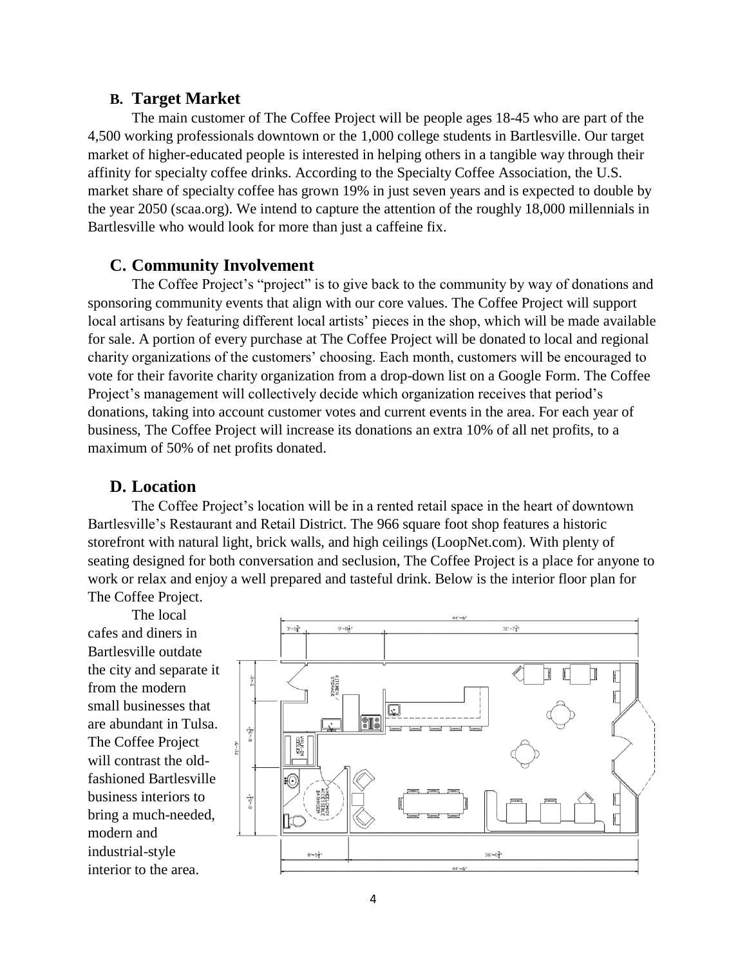#### **B. Target Market**

The main customer of The Coffee Project will be people ages 18-45 who are part of the 4,500 working professionals downtown or the 1,000 college students in Bartlesville. Our target market of higher-educated people is interested in helping others in a tangible way through their affinity for specialty coffee drinks. According to the Specialty Coffee Association, the U.S. market share of specialty coffee has grown 19% in just seven years and is expected to double by the year 2050 (scaa.org). We intend to capture the attention of the roughly 18,000 millennials in Bartlesville who would look for more than just a caffeine fix.

#### **C. Community Involvement**

The Coffee Project's "project" is to give back to the community by way of donations and sponsoring community events that align with our core values. The Coffee Project will support local artisans by featuring different local artists' pieces in the shop, which will be made available for sale. A portion of every purchase at The Coffee Project will be donated to local and regional charity organizations of the customers' choosing. Each month, customers will be encouraged to vote for their favorite charity organization from a drop-down list on a Google Form. The Coffee Project's management will collectively decide which organization receives that period's donations, taking into account customer votes and current events in the area. For each year of business, The Coffee Project will increase its donations an extra 10% of all net profits, to a maximum of 50% of net profits donated.

#### **D. Location**

The Coffee Project's location will be in a rented retail space in the heart of downtown Bartlesville's Restaurant and Retail District. The 966 square foot shop features a historic storefront with natural light, brick walls, and high ceilings (LoopNet.com). With plenty of seating designed for both conversation and seclusion, The Coffee Project is a place for anyone to work or relax and enjoy a well prepared and tasteful drink. Below is the interior floor plan for The Coffee Project.

The local cafes and diners in Bartlesville outdate the city and separate it from the modern small businesses that are abundant in Tulsa. The Coffee Project will contrast the oldfashioned Bartlesville business interiors to bring a much-needed, modern and industrial-style interior to the area.

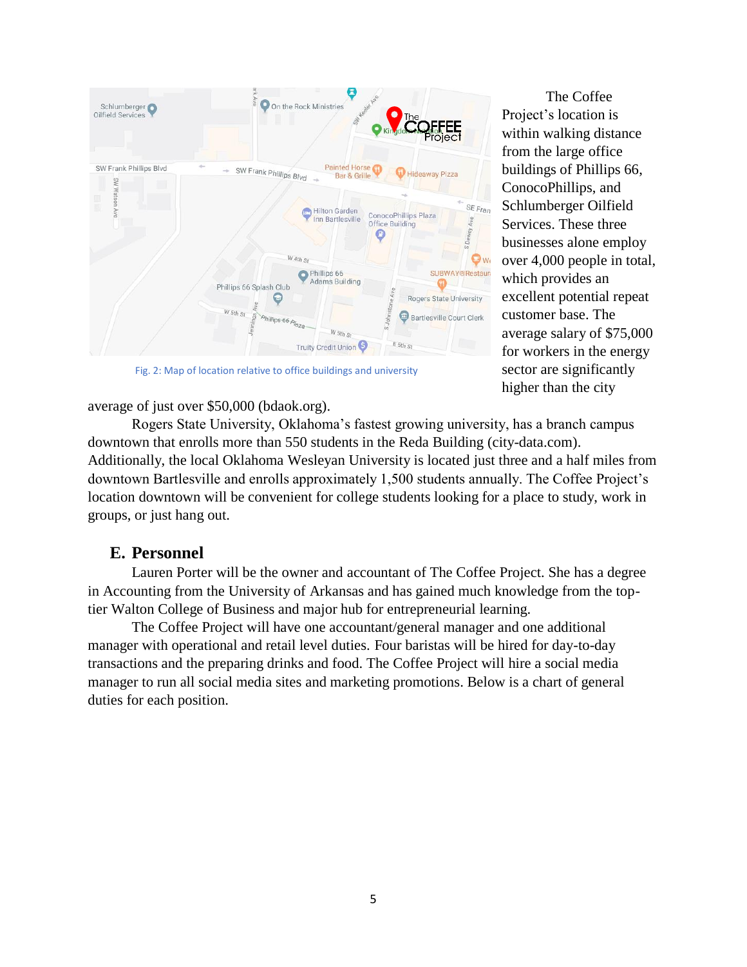

Fig. 2: Map of location relative to office buildings and university

average of just over \$50,000 (bdaok.org).

The Coffee Project's location is within walking distance from the large office buildings of Phillips 66, ConocoPhillips, and Schlumberger Oilfield Services. These three businesses alone employ over 4,000 people in total, which provides an excellent potential repeat customer base. The average salary of \$75,000 for workers in the energy sector are significantly higher than the city

Rogers State University, Oklahoma's fastest growing university, has a branch campus downtown that enrolls more than 550 students in the Reda Building (city-data.com). Additionally, the local Oklahoma Wesleyan University is located just three and a half miles from downtown Bartlesville and enrolls approximately 1,500 students annually. The Coffee Project's location downtown will be convenient for college students looking for a place to study, work in groups, or just hang out.

## **E. Personnel**

Lauren Porter will be the owner and accountant of The Coffee Project. She has a degree in Accounting from the University of Arkansas and has gained much knowledge from the toptier Walton College of Business and major hub for entrepreneurial learning.

The Coffee Project will have one accountant/general manager and one additional manager with operational and retail level duties. Four baristas will be hired for day-to-day transactions and the preparing drinks and food. The Coffee Project will hire a social media manager to run all social media sites and marketing promotions. Below is a chart of general duties for each position.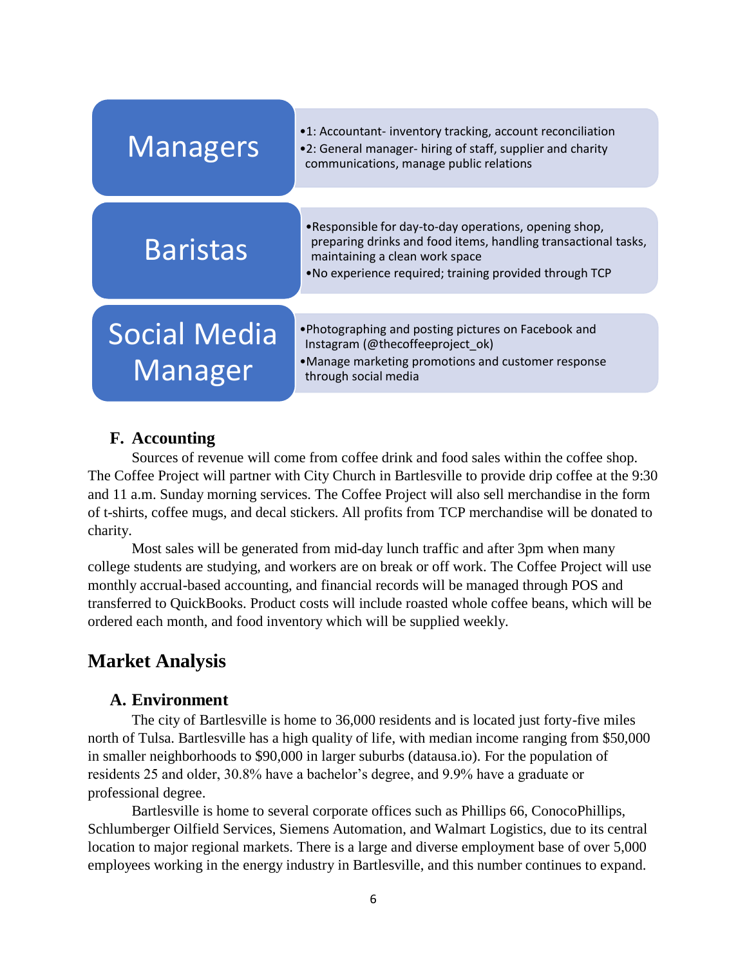| <b>Managers</b>                | •1: Accountant-inventory tracking, account reconciliation<br>•2: General manager- hiring of staff, supplier and charity<br>communications, manage public relations                                                   |
|--------------------------------|----------------------------------------------------------------------------------------------------------------------------------------------------------------------------------------------------------------------|
|                                |                                                                                                                                                                                                                      |
| <b>Baristas</b>                | .Responsible for day-to-day operations, opening shop,<br>preparing drinks and food items, handling transactional tasks,<br>maintaining a clean work space<br>. No experience required; training provided through TCP |
|                                |                                                                                                                                                                                                                      |
| <b>Social Media</b><br>Manager | . Photographing and posting pictures on Facebook and<br>Instagram (@thecoffeeproject ok)<br>•Manage marketing promotions and customer response<br>through social media                                               |

## **F. Accounting**

Sources of revenue will come from coffee drink and food sales within the coffee shop. The Coffee Project will partner with City Church in Bartlesville to provide drip coffee at the 9:30 and 11 a.m. Sunday morning services. The Coffee Project will also sell merchandise in the form of t-shirts, coffee mugs, and decal stickers. All profits from TCP merchandise will be donated to charity.

Most sales will be generated from mid-day lunch traffic and after 3pm when many college students are studying, and workers are on break or off work. The Coffee Project will use monthly accrual-based accounting, and financial records will be managed through POS and transferred to QuickBooks. Product costs will include roasted whole coffee beans, which will be ordered each month, and food inventory which will be supplied weekly.

# **Market Analysis**

## **A. Environment**

The city of Bartlesville is home to 36,000 residents and is located just forty-five miles north of Tulsa. Bartlesville has a high quality of life, with median income ranging from \$50,000 in smaller neighborhoods to \$90,000 in larger suburbs (datausa.io). For the population of residents 25 and older, 30.8% have a bachelor's degree, and 9.9% have a graduate or professional degree.

Bartlesville is home to several corporate offices such as Phillips 66, ConocoPhillips, Schlumberger Oilfield Services, Siemens Automation, and Walmart Logistics, due to its central location to major regional markets. There is a large and diverse employment base of over 5,000 employees working in the energy industry in Bartlesville, and this number continues to expand.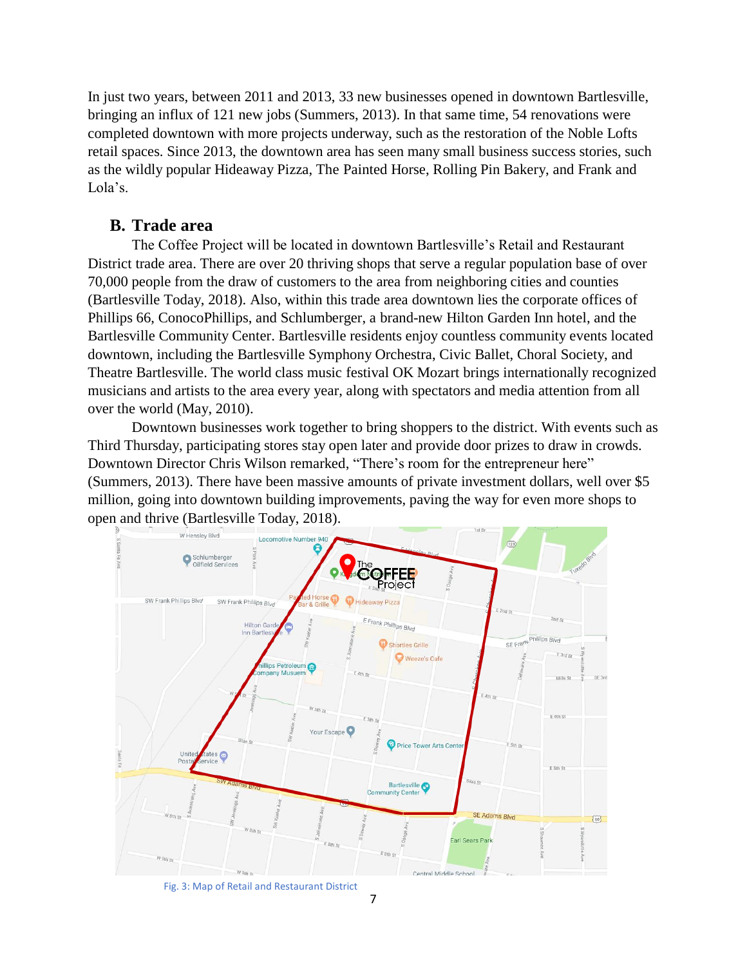In just two years, between 2011 and 2013, 33 new businesses opened in downtown Bartlesville, bringing an influx of 121 new jobs (Summers, 2013). In that same time, 54 renovations were completed downtown with more projects underway, such as the restoration of the Noble Lofts retail spaces. Since 2013, the downtown area has seen many small business success stories, such as the wildly popular Hideaway Pizza, The Painted Horse, Rolling Pin Bakery, and Frank and Lola's.

#### **B. Trade area**

The Coffee Project will be located in downtown Bartlesville's Retail and Restaurant District trade area. There are over 20 thriving shops that serve a regular population base of over 70,000 people from the draw of customers to the area from neighboring cities and counties (Bartlesville Today, 2018). Also, within this trade area downtown lies the corporate offices of Phillips 66, ConocoPhillips, and Schlumberger, a brand-new Hilton Garden Inn hotel, and the Bartlesville Community Center. Bartlesville residents enjoy countless community events located downtown, including the Bartlesville Symphony Orchestra, Civic Ballet, Choral Society, and Theatre Bartlesville. The world class music festival OK Mozart brings internationally recognized musicians and artists to the area every year, along with spectators and media attention from all over the world (May, 2010).

Downtown businesses work together to bring shoppers to the district. With events such as Third Thursday, participating stores stay open later and provide door prizes to draw in crowds. Downtown Director Chris Wilson remarked, "There's room for the entrepreneur here" (Summers, 2013). There have been massive amounts of private investment dollars, well over \$5 million, going into downtown building improvements, paving the way for even more shops to open and thrive (Bartlesville Today, 2018).



Fig. 3: Map of Retail and Restaurant District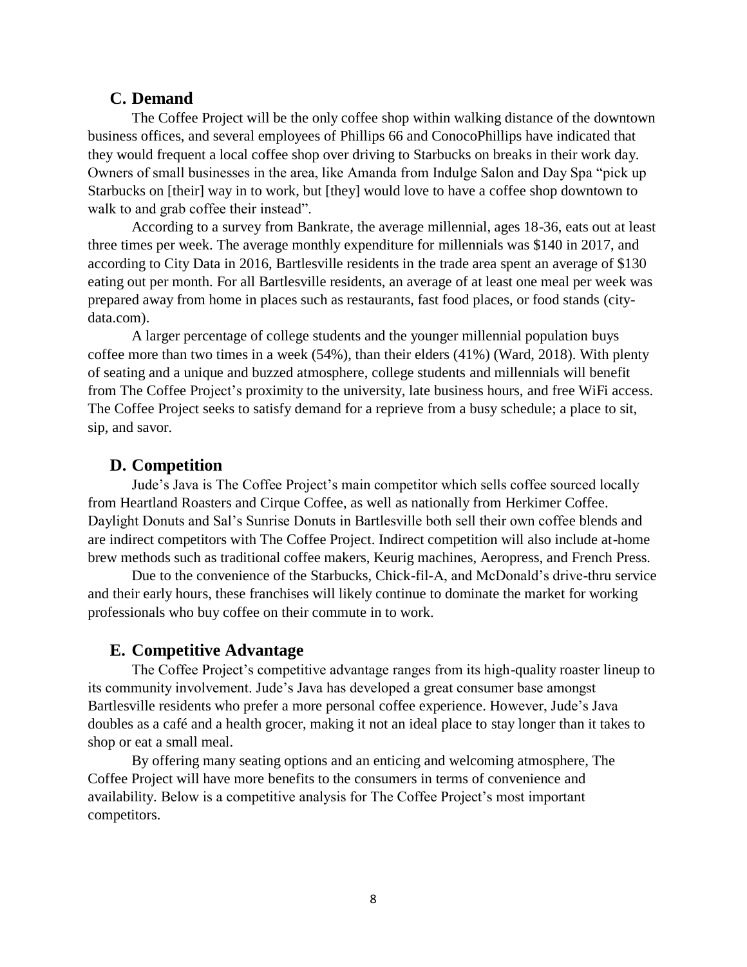#### **C. Demand**

The Coffee Project will be the only coffee shop within walking distance of the downtown business offices, and several employees of Phillips 66 and ConocoPhillips have indicated that they would frequent a local coffee shop over driving to Starbucks on breaks in their work day. Owners of small businesses in the area, like Amanda from Indulge Salon and Day Spa "pick up Starbucks on [their] way in to work, but [they] would love to have a coffee shop downtown to walk to and grab coffee their instead".

According to a survey from Bankrate, the average millennial, ages 18-36, eats out at least three times per week. The average monthly expenditure for millennials was \$140 in 2017, and according to City Data in 2016, Bartlesville residents in the trade area spent an average of \$130 eating out per month. For all Bartlesville residents, an average of at least one meal per week was prepared away from home in places such as restaurants, fast food places, or food stands (citydata.com).

A larger percentage of college students and the younger millennial population buys coffee more than two times in a week (54%), than their elders (41%) (Ward, 2018). With plenty of seating and a unique and buzzed atmosphere, college students and millennials will benefit from The Coffee Project's proximity to the university, late business hours, and free WiFi access. The Coffee Project seeks to satisfy demand for a reprieve from a busy schedule; a place to sit, sip, and savor.

#### **D. Competition**

Jude's Java is The Coffee Project's main competitor which sells coffee sourced locally from Heartland Roasters and Cirque Coffee, as well as nationally from Herkimer Coffee. Daylight Donuts and Sal's Sunrise Donuts in Bartlesville both sell their own coffee blends and are indirect competitors with The Coffee Project. Indirect competition will also include at-home brew methods such as traditional coffee makers, Keurig machines, Aeropress, and French Press.

Due to the convenience of the Starbucks, Chick-fil-A, and McDonald's drive-thru service and their early hours, these franchises will likely continue to dominate the market for working professionals who buy coffee on their commute in to work.

#### **E. Competitive Advantage**

The Coffee Project's competitive advantage ranges from its high-quality roaster lineup to its community involvement. Jude's Java has developed a great consumer base amongst Bartlesville residents who prefer a more personal coffee experience. However, Jude's Java doubles as a café and a health grocer, making it not an ideal place to stay longer than it takes to shop or eat a small meal.

By offering many seating options and an enticing and welcoming atmosphere, The Coffee Project will have more benefits to the consumers in terms of convenience and availability. Below is a competitive analysis for The Coffee Project's most important competitors.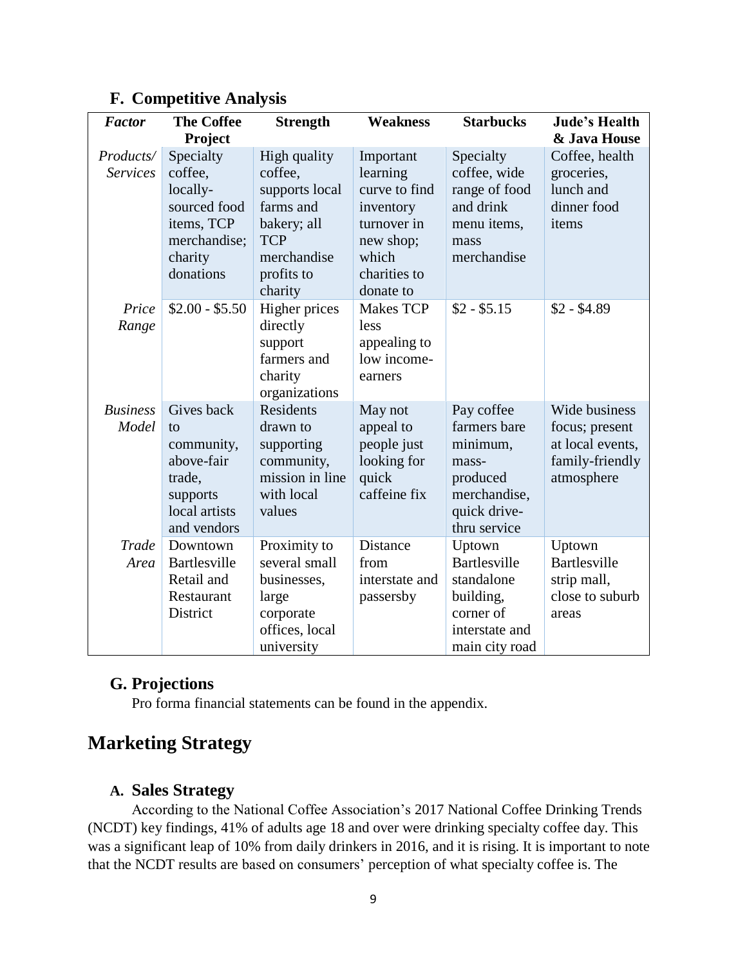| <b>Factor</b>                | <b>The Coffee</b><br>Project                                                                                  | <b>Strength</b>                                                                                                             | <b>Weakness</b>                                                                                                       | <b>Starbucks</b>                                                                                            | <b>Jude's Health</b><br>& Java House                                                 |
|------------------------------|---------------------------------------------------------------------------------------------------------------|-----------------------------------------------------------------------------------------------------------------------------|-----------------------------------------------------------------------------------------------------------------------|-------------------------------------------------------------------------------------------------------------|--------------------------------------------------------------------------------------|
| Products/<br><b>Services</b> | Specialty<br>coffee,<br>locally-<br>sourced food<br>items, TCP<br>merchandise;<br>charity<br>donations        | High quality<br>coffee,<br>supports local<br>farms and<br>bakery; all<br><b>TCP</b><br>merchandise<br>profits to<br>charity | Important<br>learning<br>curve to find<br>inventory<br>turnover in<br>new shop;<br>which<br>charities to<br>donate to | Specialty<br>coffee, wide<br>range of food<br>and drink<br>menu items,<br>mass<br>merchandise               | Coffee, health<br>groceries,<br>lunch and<br>dinner food<br>items                    |
| Price<br>Range               | $$2.00 - $5.50$                                                                                               | Higher prices<br>directly<br>support<br>farmers and<br>charity<br>organizations                                             | <b>Makes TCP</b><br>less<br>appealing to<br>low income-<br>earners                                                    | $$2 - $5.15$                                                                                                | $$2 - $4.89$                                                                         |
| <b>Business</b><br>Model     | Gives back<br>$\mathsf{to}$<br>community,<br>above-fair<br>trade,<br>supports<br>local artists<br>and vendors | Residents<br>drawn to<br>supporting<br>community,<br>mission in line<br>with local<br>values                                | May not<br>appeal to<br>people just<br>looking for<br>quick<br>caffeine fix                                           | Pay coffee<br>farmers bare<br>minimum,<br>mass-<br>produced<br>merchandise,<br>quick drive-<br>thru service | Wide business<br>focus; present<br>at local events,<br>family-friendly<br>atmosphere |
| Trade<br>Area                | Downtown<br>Bartlesville<br>Retail and<br>Restaurant<br>District                                              | Proximity to<br>several small<br>businesses,<br>large<br>corporate<br>offices, local<br>university                          | Distance<br>from<br>interstate and<br>passersby                                                                       | Uptown<br><b>Bartlesville</b><br>standalone<br>building,<br>corner of<br>interstate and<br>main city road   | Uptown<br>Bartlesville<br>strip mall,<br>close to suburb<br>areas                    |

## **F. Competitive Analysis**

## **G. Projections**

Pro forma financial statements can be found in the appendix.

# **Marketing Strategy**

## **A. Sales Strategy**

According to the National Coffee Association's 2017 National Coffee Drinking Trends (NCDT) key findings, 41% of adults age 18 and over were drinking specialty coffee day. This was a significant leap of 10% from daily drinkers in 2016, and it is rising. It is important to note that the NCDT results are based on consumers' perception of what specialty coffee is. The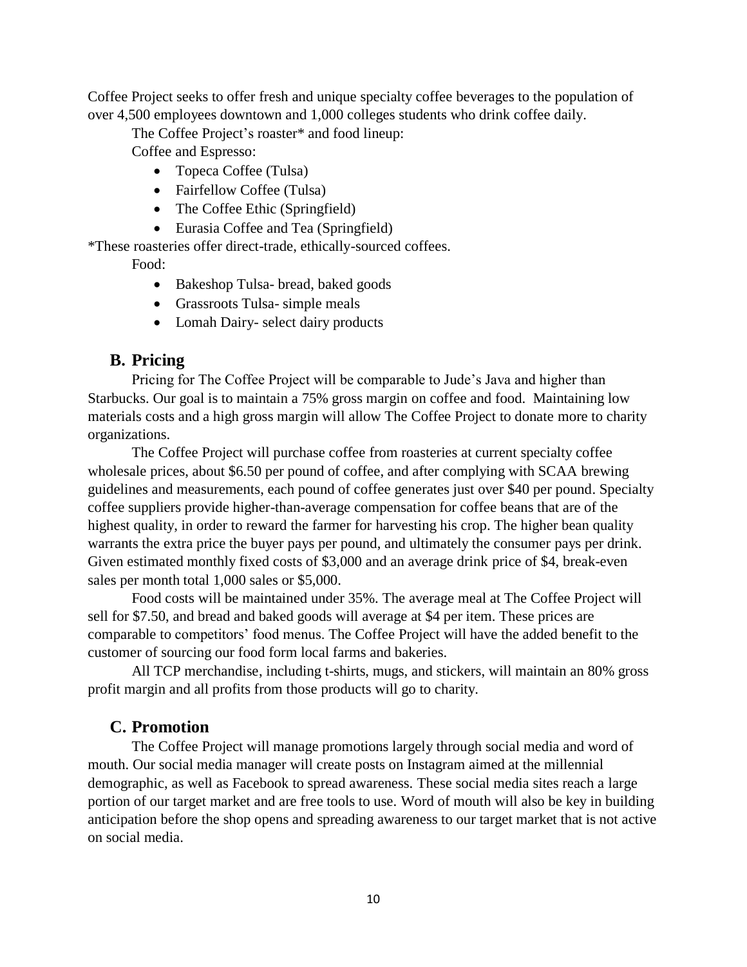Coffee Project seeks to offer fresh and unique specialty coffee beverages to the population of over 4,500 employees downtown and 1,000 colleges students who drink coffee daily.

The Coffee Project's roaster\* and food lineup:

Coffee and Espresso:

- Topeca Coffee (Tulsa)
- Fairfellow Coffee (Tulsa)
- The Coffee Ethic (Springfield)
- Eurasia Coffee and Tea (Springfield)

\*These roasteries offer direct-trade, ethically-sourced coffees.

Food:

- Bakeshop Tulsa- bread, baked goods
- Grassroots Tulsa- simple meals
- Lomah Dairy- select dairy products

## **B. Pricing**

Pricing for The Coffee Project will be comparable to Jude's Java and higher than Starbucks. Our goal is to maintain a 75% gross margin on coffee and food. Maintaining low materials costs and a high gross margin will allow The Coffee Project to donate more to charity organizations.

The Coffee Project will purchase coffee from roasteries at current specialty coffee wholesale prices, about \$6.50 per pound of coffee, and after complying with SCAA brewing guidelines and measurements, each pound of coffee generates just over \$40 per pound. Specialty coffee suppliers provide higher-than-average compensation for coffee beans that are of the highest quality, in order to reward the farmer for harvesting his crop. The higher bean quality warrants the extra price the buyer pays per pound, and ultimately the consumer pays per drink. Given estimated monthly fixed costs of \$3,000 and an average drink price of \$4, break-even sales per month total 1,000 sales or \$5,000.

Food costs will be maintained under 35%. The average meal at The Coffee Project will sell for \$7.50, and bread and baked goods will average at \$4 per item. These prices are comparable to competitors' food menus. The Coffee Project will have the added benefit to the customer of sourcing our food form local farms and bakeries.

All TCP merchandise, including t-shirts, mugs, and stickers, will maintain an 80% gross profit margin and all profits from those products will go to charity.

## **C. Promotion**

The Coffee Project will manage promotions largely through social media and word of mouth. Our social media manager will create posts on Instagram aimed at the millennial demographic, as well as Facebook to spread awareness. These social media sites reach a large portion of our target market and are free tools to use. Word of mouth will also be key in building anticipation before the shop opens and spreading awareness to our target market that is not active on social media.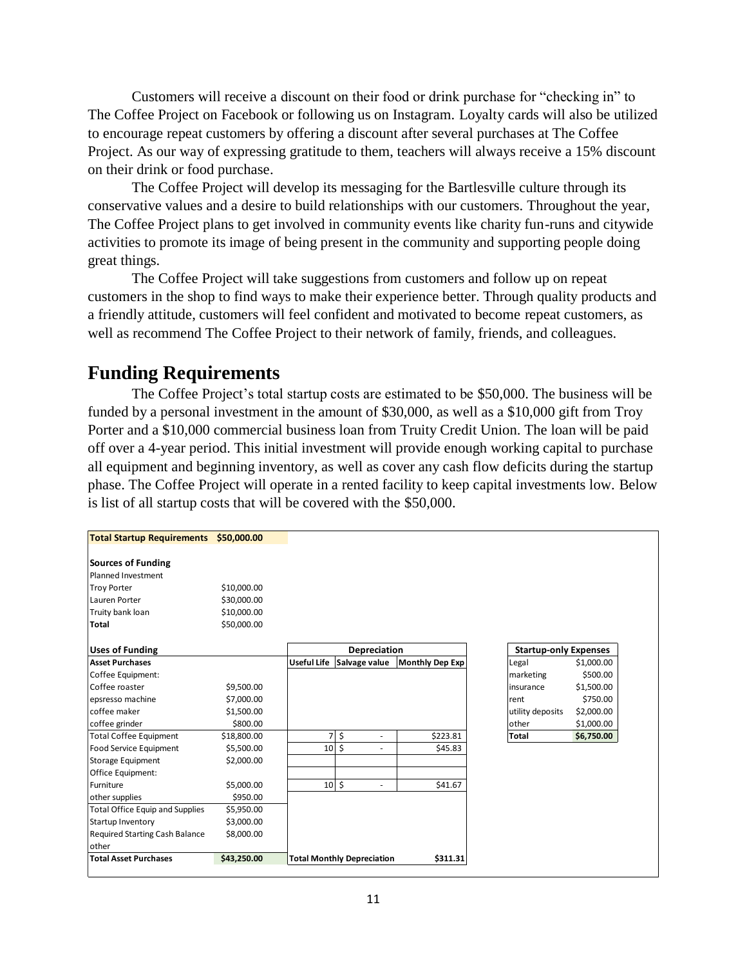Customers will receive a discount on their food or drink purchase for "checking in" to The Coffee Project on Facebook or following us on Instagram. Loyalty cards will also be utilized to encourage repeat customers by offering a discount after several purchases at The Coffee Project. As our way of expressing gratitude to them, teachers will always receive a 15% discount on their drink or food purchase.

The Coffee Project will develop its messaging for the Bartlesville culture through its conservative values and a desire to build relationships with our customers. Throughout the year, The Coffee Project plans to get involved in community events like charity fun-runs and citywide activities to promote its image of being present in the community and supporting people doing great things.

The Coffee Project will take suggestions from customers and follow up on repeat customers in the shop to find ways to make their experience better. Through quality products and a friendly attitude, customers will feel confident and motivated to become repeat customers, as well as recommend The Coffee Project to their network of family, friends, and colleagues.

# **Funding Requirements**

The Coffee Project's total startup costs are estimated to be \$50,000. The business will be funded by a personal investment in the amount of \$30,000, as well as a \$10,000 gift from Troy Porter and a \$10,000 commercial business loan from Truity Credit Union. The loan will be paid off over a 4-year period. This initial investment will provide enough working capital to purchase all equipment and beginning inventory, as well as cover any cash flow deficits during the startup phase. The Coffee Project will operate in a rented facility to keep capital investments low. Below is list of all startup costs that will be covered with the \$50,000.

| <b>Total Startup Requirements</b>      | \$50,000,00 |                |                                   |                        |                              |            |
|----------------------------------------|-------------|----------------|-----------------------------------|------------------------|------------------------------|------------|
| Sources of Funding                     |             |                |                                   |                        |                              |            |
| Planned Investment                     |             |                |                                   |                        |                              |            |
| <b>Troy Porter</b>                     | \$10,000.00 |                |                                   |                        |                              |            |
| Lauren Porter                          | \$30,000.00 |                |                                   |                        |                              |            |
| Truity bank loan                       | \$10,000.00 |                |                                   |                        |                              |            |
| Total                                  | \$50,000.00 |                |                                   |                        |                              |            |
| <b>Uses of Funding</b>                 |             |                | <b>Depreciation</b>               |                        | <b>Startup-only Expenses</b> |            |
| <b>Asset Purchases</b>                 |             |                | Useful Life Salvage value         | <b>Monthly Dep Exp</b> | Legal                        | \$1,000.00 |
| Coffee Equipment:                      |             |                |                                   |                        | marketing                    | \$500.00   |
| Coffee roaster                         | \$9,500.00  |                |                                   |                        | insurance                    | \$1,500.00 |
| epsresso machine                       | \$7,000.00  |                |                                   |                        | rent                         | \$750.00   |
| coffee maker                           | \$1,500.00  |                |                                   |                        | utility deposits             | \$2,000.00 |
| coffee grinder                         | \$800.00    |                |                                   |                        | other                        | \$1,000.00 |
| <b>Total Coffee Equipment</b>          | \$18,800.00 | $\overline{7}$ | \$                                | \$223.81               | <b>Total</b>                 | \$6,750.00 |
| <b>Food Service Equipment</b>          | \$5,500.00  |                | $10 \pm$                          | \$45.83                |                              |            |
| Storage Equipment                      | \$2,000.00  |                |                                   |                        |                              |            |
| <b>Office Equipment:</b>               |             |                |                                   |                        |                              |            |
| Furniture                              | \$5,000.00  |                | $10\frac{1}{2}$<br>$\overline{a}$ | \$41.67                |                              |            |
| other supplies                         | \$950.00    |                |                                   |                        |                              |            |
| <b>Total Office Equip and Supplies</b> | \$5,950.00  |                |                                   |                        |                              |            |
| Startup Inventory                      | \$3,000.00  |                |                                   |                        |                              |            |
| <b>Required Starting Cash Balance</b>  | \$8,000.00  |                |                                   |                        |                              |            |
| other                                  |             |                |                                   |                        |                              |            |
| <b>Total Asset Purchases</b>           | \$43,250.00 |                | <b>Total Monthly Depreciation</b> | \$311.31               |                              |            |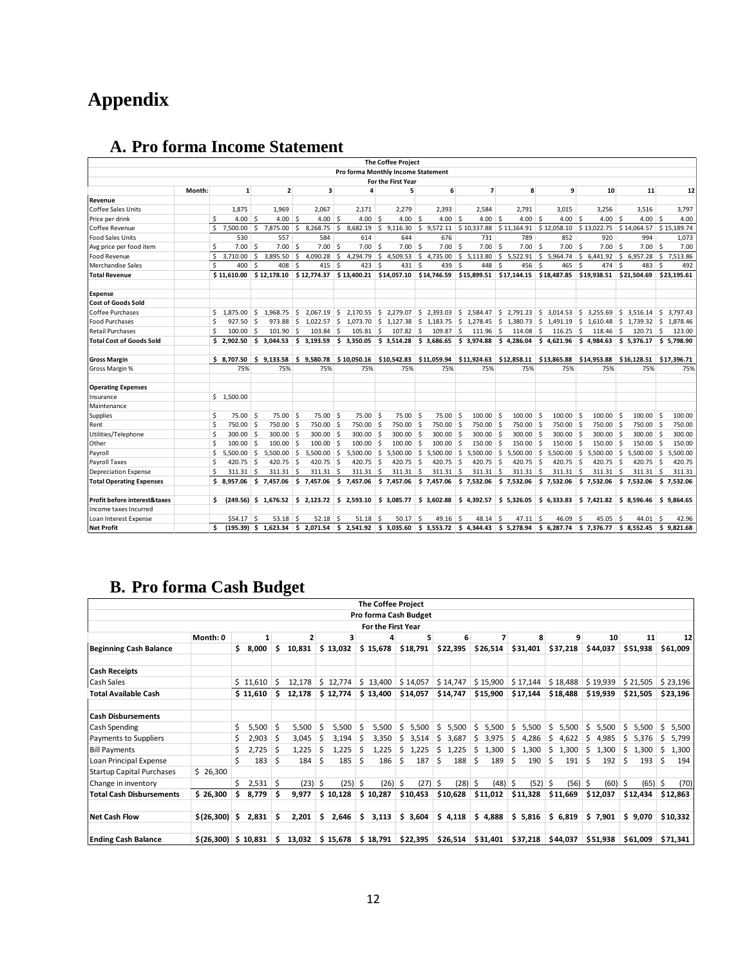# **Appendix**

|                                         |        |                     |                         |                                                            |    |               |               |                                    |            | <b>The Coffee Project</b>   |    |                   |                                                                                                                                                                                         |                         |               |    |                |     |             |      |                           |    |             |
|-----------------------------------------|--------|---------------------|-------------------------|------------------------------------------------------------|----|---------------|---------------|------------------------------------|------------|-----------------------------|----|-------------------|-----------------------------------------------------------------------------------------------------------------------------------------------------------------------------------------|-------------------------|---------------|----|----------------|-----|-------------|------|---------------------------|----|-------------|
|                                         |        |                     |                         |                                                            |    |               |               | Pro forma Monthly Income Statement |            |                             |    |                   |                                                                                                                                                                                         |                         |               |    |                |     |             |      |                           |    |             |
|                                         |        |                     |                         |                                                            |    |               |               |                                    |            | For the First Year          |    |                   |                                                                                                                                                                                         |                         |               |    |                |     |             |      |                           |    |             |
|                                         | Month: |                     | 1                       | $\overline{2}$                                             |    | 3             |               | 4                                  |            | 5                           |    | 6                 | $\overline{ }$                                                                                                                                                                          |                         | 8             |    | 9              |     | 10          |      | 11                        |    | 12          |
| Revenue                                 |        |                     |                         |                                                            |    |               |               |                                    |            |                             |    |                   |                                                                                                                                                                                         |                         |               |    |                |     |             |      |                           |    |             |
| <b>Coffee Sales Units</b>               |        | 1,875               |                         | 1,969                                                      |    | 2,067         |               | 2,171                              |            | 2,279                       |    | 2,393             | 2,584                                                                                                                                                                                   |                         | 2,791         |    | 3,015          |     | 3,256       |      | 3,516                     |    | 3,797       |
| Price per drink                         |        | \$                  | $4.00$ \$               | $4.00$ \$                                                  |    | $4.00$ \$     |               | $4.00$ \$                          |            | 4.00 <sup>5</sup>           |    | $4.00$ \$         | $4.00$ \$                                                                                                                                                                               |                         | $4.00$ \$     |    | $4.00$ \$      |     | $4.00$ \$   |      | $4.00$ \$                 |    | 4.00        |
| Coffee Revenue                          |        | Ś.<br>7.500.00      | l \$                    | 7,875.00                                                   | Ŝ. | 8,268.75      | Ŝ.            | 8,682.19                           |            | \$9,116.30                  |    |                   | $$9,572.11 \t$10,337.88 \t$11,164.91 \t$12,058.10 \t$13,022.75$                                                                                                                         |                         |               |    |                |     |             |      | \$14,064.57               |    | \$15,189.74 |
| <b>Food Sales Units</b>                 |        | 530                 |                         | 557                                                        |    | 584           |               | 614                                |            | 644                         |    | 676               | 731                                                                                                                                                                                     |                         | 789           |    | 852            |     | 920         |      | 994                       |    | 1,073       |
| Avg price per food item                 |        | \$                  | $7.00$ \$               | 7.00                                                       | -Ś | 7.00          | <sup>\$</sup> | 7.00                               | ∣ \$       | 7.00                        | Ŝ. | $7.00$ \$         | 7.00                                                                                                                                                                                    | $\overline{\mathsf{s}}$ | 7.00          | Ŝ. | $7.00$ \$      |     | 7.00        | Ŝ.   | $7.00$ \$                 |    | 7.00        |
| <b>Food Revenue</b>                     |        | Ŝ.<br>3.710.00      | $\vert$ \$              | 3.895.50                                                   | Ŝ. | 4,090.28      | \$            | 4,294.79                           |            | \$4,509.53                  |    |                   | $\binom{5}{5}$ 4,735.00 $\binom{5}{5}$ 5,113.80 $\binom{5}{5}$ 5,522.91 $\binom{5}{5}$ 5,964.74                                                                                         |                         |               |    |                |     | \$6,441.92  |      | \$6,957.28                |    | \$7,513.86  |
| <b>Merchandise Sales</b>                |        | \$<br>400           | $\overline{\mathbf{s}}$ | 408                                                        | Ŝ. | 415           | -             | 423                                | Ŝ.         | 431                         | Š, | 439               | 448<br>∣ \$                                                                                                                                                                             | $\mathsf{s}$            | 456           | -Ś | 465            | Ŝ.  | 474         | Ŝ.   | 483                       | Ŝ. | 492         |
| <b>Total Revenue</b>                    |        |                     |                         | $$11,610.00$ $$12,178.10$ $$12,774.37$                     |    |               |               |                                    |            |                             |    |                   | $$13,400.21$ $$14,057.10$ $$14,746.59$ $$15,899.51$ $$17,144.15$ $$18,487.85$                                                                                                           |                         |               |    |                |     | \$19,938.51 |      | \$21,504.69               |    | \$23,195.61 |
| <b>Expense</b>                          |        |                     |                         |                                                            |    |               |               |                                    |            |                             |    |                   |                                                                                                                                                                                         |                         |               |    |                |     |             |      |                           |    |             |
| <b>Cost of Goods Sold</b>               |        |                     |                         |                                                            |    |               |               |                                    |            |                             |    |                   |                                                                                                                                                                                         |                         |               |    |                |     |             |      |                           |    |             |
| <b>Coffee Purchases</b>                 |        | \$<br>1.875.00      | l S                     | 1.968.75                                                   | Ŝ. | 2,067.19      | S.            |                                    |            |                             |    |                   | $2,170.55$ \$ 2,279.07 \$ 2,393.03 \$ 2,584.47                                                                                                                                          |                         | 52,791.23     |    | $$3,014.53$ \$ |     | 3.255.69    |      | \$3,516.14                | S. | 3.797.43    |
| <b>Food Purchases</b>                   |        | \$<br>$927.50$ \$   |                         |                                                            |    |               |               |                                    |            |                             |    |                   | 973.88 \$ 1,022.57 \$ 1,073.70 \$ 1,127.38 \$ 1,183.75 \$ 1,278.45 \$ 1,380.73 \$ 1,491.19 \$ 1,610.48 \$ 1,739.32 \$ 1,878.46                                                          |                         |               |    |                |     |             |      |                           |    |             |
| <b>Retail Purchases</b>                 |        | Ŝ.<br>$100.00$ \$   |                         | 101.90                                                     | -Ś | 103.84        | -Ŝ            | $105.81$ \$                        |            | $107.82$ \$                 |    | 109.87 \$         | $111.96$ \$                                                                                                                                                                             |                         | $114.08$ \$   |    | $116.25$ \$    |     | $118.46$ \$ |      | $120.71$ \$               |    | 123.00      |
| <b>Total Cost of Goods Sold</b>         |        |                     |                         | $$2,902.50$ $$3,044.53$ $$3,193.59$                        |    |               |               |                                    |            |                             |    |                   | $\frac{1}{5}$ 3,350.05 $\frac{1}{5}$ 3,514.28 $\frac{1}{5}$ 3,686.65 $\frac{1}{5}$ 3,974.88 $\frac{1}{5}$ 4,286.04 $\frac{1}{5}$ 4,621.96 $\frac{1}{5}$ 4,984.63 $\frac{1}{5}$ 5,376.17 |                         |               |    |                |     |             |      |                           |    | \$5,798.90  |
| <b>Gross Margin</b>                     |        |                     |                         | $$8,707.50$ $$9,133.58$                                    |    | \$9,580.78    |               | \$10,050.16                        |            | \$10,542.83                 |    |                   | $$11,059.94$ $$11,924.63$ $$12,858.11$ $$13,865.88$                                                                                                                                     |                         |               |    |                |     | \$14,953.88 |      | $$16,128.51$ $$17,396.71$ |    |             |
| Gross Margin %                          |        |                     | 75%                     | 75%                                                        |    | 75%           |               | 75%                                | 75%<br>75% |                             |    | 75%<br>75%<br>75% |                                                                                                                                                                                         |                         |               |    |                | 75% |             | 75%  | 75%                       |    |             |
|                                         |        |                     |                         |                                                            |    |               |               |                                    |            |                             |    |                   |                                                                                                                                                                                         |                         |               |    |                |     |             |      |                           |    |             |
| <b>Operating Expenses</b>               |        |                     |                         |                                                            |    |               |               |                                    |            |                             |    |                   |                                                                                                                                                                                         |                         |               |    |                |     |             |      |                           |    |             |
| Insurance                               |        | \$1,500.00          |                         |                                                            |    |               |               |                                    |            |                             |    |                   |                                                                                                                                                                                         |                         |               |    |                |     |             |      |                           |    |             |
| Maintenance                             |        |                     |                         |                                                            |    |               |               |                                    |            |                             |    |                   |                                                                                                                                                                                         |                         |               |    |                |     |             |      |                           |    |             |
| Supplies                                |        | \$<br>$75.00$ \$    |                         | $75.00$ \$                                                 |    | $75.00$ \$    |               | $75.00$ \$                         |            | $75.00$ \$                  |    | $75.00$ \$        | $100.00$ \$                                                                                                                                                                             |                         | $100.00$ \$   |    | $100.00$ \$    |     | 100.00      | Ŝ.   | $100.00$ \$               |    | 100.00      |
| Rent                                    |        | \$<br>750.00 \$     |                         | 750.00 \$                                                  |    | 750.00 \$     |               | 750.00 \$                          |            | 750.00 \$                   |    | 750.00 \$         | 750.00 \$                                                                                                                                                                               |                         | 750.00 \$     |    | 750.00 \$      |     | 750.00 \$   |      | 750.00 \$                 |    | 750.00      |
| Utilities/Telephone                     |        | Ś<br>$300.00$ \$    |                         | $300.00$ \$                                                |    | $300.00$ \$   |               | $300.00$ \$                        |            | $300.00$ \$                 |    | $300.00$ \$       | $300.00$ \$                                                                                                                                                                             |                         | $300.00$ \$   |    | $300.00$ \$    |     | 300.00 \$   |      | $300.00$ \$               |    | 300.00      |
| Other                                   |        | Ś<br>$100.00$ \$    |                         | $100.00$ \$                                                |    | $100.00$ \$   |               | 100.00                             | ۱\$        | $100.00$ \$                 |    | 100.00            | $\vert$ s<br>150.00                                                                                                                                                                     | ۱\$                     | 150.00        | Ŝ. | $150.00$ \$    |     | 150.00      | ∣ \$ | $150.00$ \$               |    | 150.00      |
| Payroll                                 |        | \$<br>$5.500.00$ \$ |                         | $5.500.00$ \$                                              |    | $5.500.00$ \$ |               |                                    |            | $5,500.00$ \$ $5,500.00$ \$ |    | $5,500.00$ \$     | 5.500.00                                                                                                                                                                                | $\vert$ \$              | $5,500.00$ \$ |    | $5,500.00$ \$  |     | 5.500.00    | \$   | 5.500.00                  | Ŝ. | 5,500.00    |
| Payroll Taxes                           |        | \$<br>$420.75$ \$   |                         | $420.75$ \$                                                |    | 420.75 \$     |               | $420.75$ \$                        |            | 420.75                      | Ŝ. | 420.75            | $\vert$ \$<br>$420.75$ \$                                                                                                                                                               |                         | 420.75        | Ŝ. | $420.75$ \$    |     | 420.75      | ۱\$  | 420.75                    | \$ | 420.75      |
| <b>Depreciation Expense</b>             |        | Ś<br>$311.31$ \$    |                         | $311.31$ \$                                                |    | 311.31        | -Ś            | $311.31$ \$                        |            | $311.31$ \$                 |    | $311.31$ \$       | $311.31$ \$                                                                                                                                                                             |                         | $311.31$ \$   |    | $311.31$ \$    |     | $311.31$ \$ |      | $311.31$ \$               |    | 311.31      |
| <b>Total Operating Expenses</b>         |        |                     |                         | $$8,957.06$ $$7,457.06$ $$7,457.06$                        |    |               |               |                                    |            |                             |    |                   | $\frac{1}{2}$ 7,457.06 $\frac{1}{2}$ 7,457.06 $\frac{1}{2}$ 7,457.06 $\frac{1}{2}$ 7,532.06 $\frac{1}{2}$ 7,532.06 $\frac{1}{2}$ 7,532.06 $\frac{1}{2}$ 7,532.06                        |                         |               |    |                |     |             |      | $$7,532.06$ $$7,532.06$   |    |             |
| <b>Profit before interest&amp;taxes</b> |        | Ś.                  |                         | $(249.56)$ \$ 1,676.52 \$ 2,123.72 \$ 2,593.10 \$ 3,085.77 |    |               |               |                                    |            |                             |    |                   | $\frac{1}{5}$ 3,602.88 $\frac{1}{5}$ 4,392.57 $\frac{1}{5}$ 5,326.05 $\frac{1}{5}$ 6,333.83 $\frac{1}{5}$ 7,421.82 $\frac{1}{5}$ 8,596.46                                               |                         |               |    |                |     |             |      |                           |    | \$9,864.65  |
| Income taxes Incurred                   |        |                     |                         |                                                            |    |               |               |                                    |            |                             |    |                   |                                                                                                                                                                                         |                         |               |    |                |     |             |      |                           |    |             |
| Loan Interest Expense                   |        | $$54.17$ \$         |                         | $53.18$ \$                                                 |    | 52.18         | -Ś            | $51.18$ \$                         |            | 50.17                       | Ŝ. | $49.16$ \$        | 48.14                                                                                                                                                                                   | ∣ \$                    | $47.11$ \$    |    | 46.09          | -\$ | 45.05       | Ŝ.   | 44.01                     | -Ś | 42.96       |
| <b>Net Profit</b>                       |        | Ś.                  |                         |                                                            |    |               |               |                                    |            |                             |    |                   | (195.39) \$ 1,623.34 \$ 2,071.54 \$ 2,541.92 \$ 3,035.60 \$ 3,553.72 \$ 4,344.43 \$ 5,278.94 \$ 6,287.74 \$ 7,376.77 \$ 8,552.45 \$ 9,821.68                                            |                         |               |    |                |     |             |      |                           |    |             |

# **A. Pro forma Income Statement**

# **B. Pro forma Cash Budget**

|                                       |            |     |          |     |           |    |           |     | <b>The Coffee Project</b> |                       |    |          |             |    |          |    |           |   |           |    |           |   |          |
|---------------------------------------|------------|-----|----------|-----|-----------|----|-----------|-----|---------------------------|-----------------------|----|----------|-------------|----|----------|----|-----------|---|-----------|----|-----------|---|----------|
|                                       |            |     |          |     |           |    |           |     |                           | Pro forma Cash Budget |    |          |             |    |          |    |           |   |           |    |           |   |          |
| <b>For the First Year</b><br>Month: 0 |            |     |          |     |           |    |           |     |                           |                       |    |          |             |    |          |    |           |   |           |    |           |   |          |
|                                       | 3          |     |          | 5   | 6         |    |           |     |                           | 9                     |    | 10       |             | 11 |          | 12 |           |   |           |    |           |   |          |
| <b>Beginning Cash Balance</b>         |            | \$  | 8,000    | \$. | 10,831    |    | \$13,032  |     | \$15,678                  | \$18,791              |    | \$22,395 | \$26,514    |    | \$31,401 |    | \$37,218  |   | \$44,037  |    | \$51,938  |   | \$61,009 |
| <b>Cash Receipts</b>                  |            |     |          |     |           |    |           |     |                           |                       |    |          |             |    |          |    |           |   |           |    |           |   |          |
| Cash Sales                            |            |     | \$11,610 | Ŝ.  | 12,178    |    | \$12,774  |     | \$13,400                  | \$14,057              |    | \$14,747 | \$15,900    |    | \$17,144 |    | \$18,488  |   | \$19,939  |    | \$21,505  |   | \$23,196 |
| <b>Total Available Cash</b>           |            |     | \$11,610 | \$. | 12,178    |    | \$12,774  |     | \$13,400                  | \$14,057              |    | \$14,747 | \$15,900    |    | \$17,144 |    | \$18,488  |   | \$19,939  |    | \$21,505  |   | \$23,196 |
| <b>Cash Disbursements</b>             |            |     |          |     |           |    |           |     |                           |                       |    |          |             |    |          |    |           |   |           |    |           |   |          |
| Cash Spending                         |            | Ś.  | 5,500    | \$  | 5,500     |    | 5,500     |     | 5,500                     | 5,500<br>Ŝ.           | Ŝ. | 5,500    | 5,500       | Ś. | 5,500    | Ś. | 5,500     | Ś | 5,500     | Ś. | 5,500     |   | 5,500    |
| Payments to Suppliers                 |            | Ś.  | 2,903    | .s  | 3,045     |    | 3,194     |     | 3,350                     | 3,514<br>Ŝ.           | Ŝ  | 3,687    | 3,975<br>Ś. | Ś. | 4,286    | Ŝ  | 4,622     | Ś | 4,985     | Ŝ. | 5,376     |   | 5,799    |
| <b>Bill Payments</b>                  |            | \$  | 2,725    | S   | 1,225     |    | 1,225     |     | 1,225                     | 1,225<br>S            | S  | 1,225    | 1,300<br>S  | Ś. | 1,300    | Ŝ  | 1,300     | Ŝ | 1,300     | S  | 1,300     | S | 1,300    |
| Loan Principal Expense                |            | Ś.  | 183      | S   | 184       | -S | 185       |     | 186                       | 187<br>S              | S  | 188      | 189<br>S    | Ŝ  | 190      | Ŝ  | 191       |   | 192       | s  | 193       | S | 194      |
| <b>Startup Capital Purchases</b>      | \$26,300   |     |          |     |           |    |           |     |                           |                       |    |          |             |    |          |    |           |   |           |    |           |   |          |
| Change in inventory                   |            | Ś.  | 2,531    | -Ś  | $(23)$ \$ |    | $(25)$ \$ |     | $(26)$ \$                 | (27)                  | Ŝ. | (28)     | (48)<br>-Ś  | Ŝ  | (52)     | Ŝ. | $(56)$ \$ |   | $(60)$ \$ |    | $(65)$ \$ |   | (70)     |
| <b>Total Cash Disbursements</b>       | \$26,300   | \$. | 8,779    | Ŝ   | 9,977     |    | \$10,128  |     | \$10,287                  | \$10,453              |    | \$10,628 | \$11,012    |    | \$11,328 |    | \$11,669  |   | \$12,037  |    | \$12,434  |   | \$12,863 |
| <b>Net Cash Flow</b>                  | \$(26,300) | Ŝ.  | 2,831    | Ś   | 2,201     |    | 2,646     | \$. | 3,113                     | \$3,604               |    | \$4,118  | \$4,888     |    | \$5,816  |    | \$6,819   |   | \$7,901   |    | \$9,070   |   | \$10,332 |
| <b>Ending Cash Balance</b>            | \$(26,300) |     | \$10,831 | \$. | 13,032    |    | \$15,678  |     | \$18,791                  | \$22,395              |    | \$26,514 | \$31,401    |    | \$37,218 |    | \$44,037  |   | \$51,938  |    | \$61,009  |   | \$71,341 |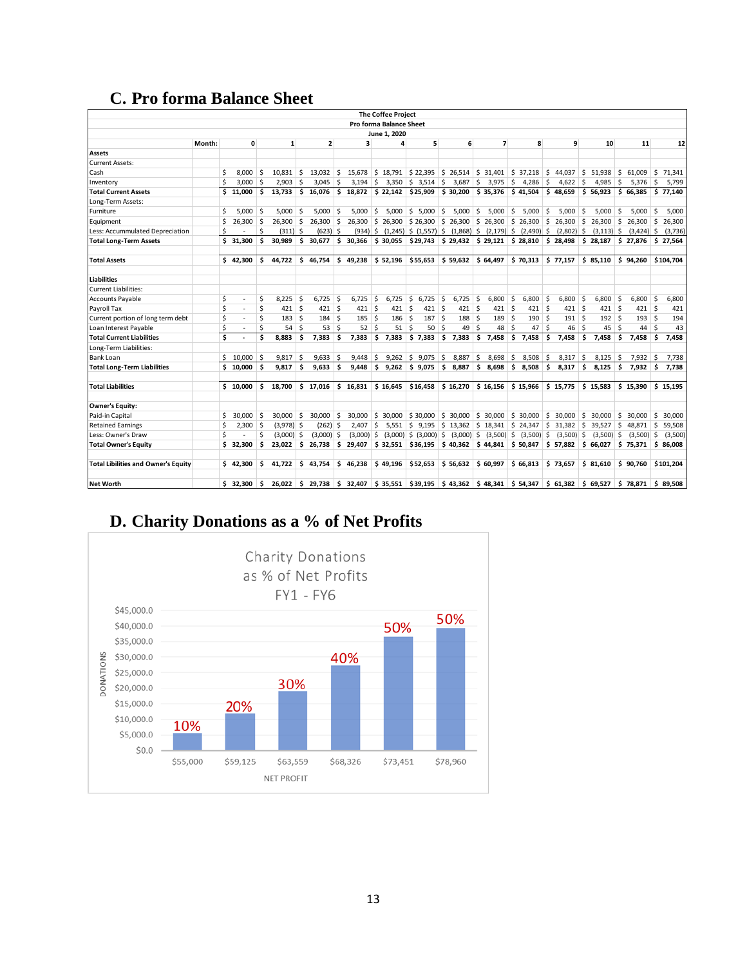# **C. Pro forma Balance Sheet**

|                                            |        |    |              |              |                                |                         |                              |     |                     |     | <b>The Coffee Project</b>       |                                                                                                                        |      |                                                                                     |      |                                        |          |                                 |      |                              |         |                                                 |     |                              |     |           |
|--------------------------------------------|--------|----|--------------|--------------|--------------------------------|-------------------------|------------------------------|-----|---------------------|-----|---------------------------------|------------------------------------------------------------------------------------------------------------------------|------|-------------------------------------------------------------------------------------|------|----------------------------------------|----------|---------------------------------|------|------------------------------|---------|-------------------------------------------------|-----|------------------------------|-----|-----------|
|                                            |        |    |              |              |                                |                         |                              |     |                     |     | Pro forma Balance Sheet         |                                                                                                                        |      |                                                                                     |      |                                        |          |                                 |      |                              |         |                                                 |     |                              |     |           |
|                                            |        |    |              |              |                                |                         |                              |     |                     |     | June 1, 2020                    |                                                                                                                        |      |                                                                                     |      |                                        |          |                                 |      |                              |         |                                                 |     |                              |     |           |
|                                            | Month: |    | 0            |              | $\mathbf{1}$                   | $\overline{\mathbf{2}}$ |                              |     | 3                   |     | 4                               | 5                                                                                                                      |      | 6                                                                                   |      | $\overline{ }$                         | 8        |                                 |      |                              | 9<br>10 |                                                 | 11  |                              |     | 12        |
| <b>Assets</b>                              |        |    |              |              |                                |                         |                              |     |                     |     |                                 |                                                                                                                        |      |                                                                                     |      |                                        |          |                                 |      |                              |         |                                                 |     |                              |     |           |
| <b>Current Assets:</b>                     |        |    |              |              |                                |                         |                              |     |                     |     |                                 |                                                                                                                        |      |                                                                                     |      |                                        |          |                                 |      |                              |         |                                                 |     |                              |     |           |
| Cash                                       |        | Ś  | 8,000        | .s           | $10,831$ \$                    |                         | 13,032                       | S.  | 15,678              |     |                                 | $\frac{1}{2}$ 18,791 $\frac{1}{2}$ 22,395 $\frac{1}{2}$ 26,514 $\frac{1}{2}$ 31,401 $\frac{1}{2}$ 37,218 $\frac{1}{2}$ |      |                                                                                     |      |                                        |          |                                 |      |                              |         | 44,037 \$ 51,938                                | -S  | 61,009                       | S.  | 71,341    |
| Inventory                                  |        | Ś  | $3,000$ \$   |              | $2.903$ \$                     |                         | 3.045                        | ∣\$ |                     |     |                                 | $3,194$ \$ 3,350 \$ 3,514 \$                                                                                           |      |                                                                                     |      | $3,687$ \$ 3,975 \$ 4,286 \$           |          |                                 |      | $4,622$ \$                   |         | $4,985$ \$                                      |     | $5,376$ \$                   |     | 5.799     |
| <b>Total Current Assets</b>                |        |    | \$11.000     | Ŝ.           |                                |                         |                              |     |                     |     |                                 | 13,733 \$ 16,076 \$ 18,872 \$ 22,142 \$25,909                                                                          |      | $\frac{1}{2}$ \$ 30,200 \$ 35,376 \$ 41,504 \$ 48,659 \$ 56,923 \$ 66,385 \$ 77,140 |      |                                        |          |                                 |      |                              |         |                                                 |     |                              |     |           |
| Long-Term Assets:                          |        |    |              |              |                                |                         |                              |     |                     |     |                                 |                                                                                                                        |      |                                                                                     |      |                                        |          |                                 |      |                              |         |                                                 |     |                              |     |           |
| Furniture                                  |        | Ś. | $5,000$ \$   |              | 5,000                          | ۱Ś                      | 5.000                        | -Ś  | 5,000               | Ŝ.  | 5,000                           | 5,000<br>S.                                                                                                            | \$.  | 5,000                                                                               | Ŝ.   | 5,000                                  | \$       | 5,000                           | .s   | 5,000                        | Ŝ.      | 5,000                                           | Ŝ.  | 5.000                        | Ŝ.  | 5,000     |
| Equipment                                  |        | Ś  | 26,300       | l S          | $26,300$ \$                    |                         | 26,300                       | Ŝ.  | 26,300              |     | \$26,300                        | \$26,300                                                                                                               |      | $\frac{1}{2}$ 26,300 \$ 26,300 \$ 26,300                                            |      |                                        |          |                                 | S.   |                              |         | 26,300 \$ 26,300                                | S.  | $26,300$ \$                  |     | 26,300    |
| Less: Accummulated Depreciation            |        | Ś  |              | Ś            | $(311)$ \$                     |                         | $(623)$ \$                   |     |                     |     |                                 | $(934)$ \$ $(1,245)$ \$ $(1,557)$ \$ $(1,868)$ \$ $(2,179)$ \$ $(2,490)$ \$                                            |      |                                                                                     |      |                                        |          |                                 |      | $(2,802)$ \$                 |         | $(3, 113)$ \$                                   |     | $(3,424)$ \$                 |     | (3,736)   |
| <b>Total Long-Term Assets</b>              |        | \$ | 31,300       | \$           | 30.989                         | \$                      | 30,677                       | \$  | 30,366              |     | \$30,055                        | $$29,743$ $$29,432$ $$29,121$ $$28,810$ $$28,498$ $$28,187$ $$27,876$ $$27,564$                                        |      |                                                                                     |      |                                        |          |                                 |      |                              |         |                                                 |     |                              |     |           |
|                                            |        |    |              |              |                                |                         |                              |     |                     |     |                                 |                                                                                                                        |      |                                                                                     |      |                                        |          |                                 |      |                              |         |                                                 |     |                              |     |           |
| <b>Total Assets</b>                        |        |    | \$42,300     | Ŝ.           | 44,722                         |                         | \$46,754                     |     |                     |     |                                 | $$49,238$ $$52,196$ $$55,653$                                                                                          |      | $\frac{1}{5}$ 59,632 $\frac{1}{5}$ 64,497 $\frac{1}{5}$ 70,313 $\frac{1}{5}$ 77,157 |      |                                        |          |                                 |      |                              |         | $\frac{1}{2}$ \$ 85,110 $\frac{1}{2}$ \$ 94,260 |     |                              |     | \$104,704 |
| <b>Liabilities</b>                         |        |    |              |              |                                |                         |                              |     |                     |     |                                 |                                                                                                                        |      |                                                                                     |      |                                        |          |                                 |      |                              |         |                                                 |     |                              |     |           |
| <b>Current Liabilities:</b>                |        |    |              |              |                                |                         |                              |     |                     |     |                                 |                                                                                                                        |      |                                                                                     |      |                                        |          |                                 |      |                              |         |                                                 |     |                              |     |           |
| <b>Accounts Payable</b>                    |        | \$ | ٠            | Ŝ            | 8,225                          | ۱s                      | 6,725                        | -S  | 6,725               | \$. | 6,725                           | 5<br>6,725                                                                                                             | ∣\$  | 6,725                                                                               | ∣ \$ | 6,800                                  | Ŝ.       | 6,800                           | - Ś  | $6,800$ \$                   |         | $6,800$ \$                                      |     | 6,800                        | -\$ | 6,800     |
| Payroll Tax                                |        | Ś  | ٠            | Ś            | $421$ \$                       |                         | $421 \overline{\phantom{a}}$ |     | $421 \,$ \$         |     | $421 \overline{\smash{\big)} }$ | $421 \overline{\smash{\big)} }$                                                                                        |      | $421 \overline{\smash{\big)} }$                                                     |      | $421 \,$ \$                            |          | $421 \overline{\smash{\big)} }$ |      | $421 \overline{\phantom{a}}$ |         | $421 \overline{\phantom{a}}$                    |     | $421 \overline{\phantom{a}}$ |     | 421       |
| Current portion of long term debt          |        | \$ | ×,           | \$           | $183 \,$ \$                    |                         | 184                          | Ŝ.  | 185                 | -Ś  | 186                             | ۱Ś<br>187                                                                                                              | ∣ \$ | 188 \$                                                                              |      | 189                                    | <b>S</b> | 190                             | ۱Ś   | $191 \,$ S                   |         | $192 \mid$ \$                                   |     | $193 \,$ \$                  |     | 194       |
| Loan Interest Payable                      |        | \$ |              | Ś            | $54 \overline{\smash{\big)} }$ |                         | 53                           | -Ś  | $52 \quad$          |     | 51                              | -Ś<br>50                                                                                                               | l S  | $49 \quad$                                                                          |      | 48                                     | \$       | 47                              | l \$ | $46 \quad$                   |         | 45                                              | l s | $44 \mid 5$                  |     | 43        |
| <b>Total Current Liabilities</b>           |        | Ś  |              | Ś            | 8,883                          | ۱Ś                      | 7,383                        | \$. | 7,383               | \$  | 7,383                           | \$7,383                                                                                                                | \$   | $7,383$ \$                                                                          |      | 7,458                                  | \$.      | 7,458                           | Ŝ.   | 7.458                        | Ŝ.      | 7.458                                           | Ŝ.  | $7,458$ \$                   |     | 7,458     |
| Long-Term Liabilities:                     |        |    |              |              |                                |                         |                              |     |                     |     |                                 |                                                                                                                        |      |                                                                                     |      |                                        |          |                                 |      |                              |         |                                                 |     |                              |     |           |
| <b>Bank Loan</b>                           |        |    | $$10,000$ \$ |              | $9,817$ \$                     |                         | 9,633                        | -\$ | 9,448               | \$. | 9,262                           | \$9,075                                                                                                                | ∣\$  | 8,887 \$                                                                            |      | 8,698                                  | S.       | 8,508                           | 5    | 8,317                        | S.      | 8,125                                           | S.  | $7,932$ \$                   |     | 7,738     |
| <b>Total Long-Term Liabilities</b>         |        |    | \$10,000     | Ŝ.           | $9.817$ \$                     |                         | 9.633                        | Ŝ.  | 9.448               | l S |                                 | 9.262 \$ 9.075                                                                                                         |      | $$8.887$ \$ 8.698                                                                   |      |                                        | ا \$     | 8.508                           | ۱s.  | $8.317$ \$                   |         |                                                 |     | $8.125$ \$ 7.932 \$          |     | 7.738     |
| <b>Total Liabilities</b>                   |        |    | \$10,000     | Ŝ.           | 18,700                         |                         | \$17,016                     |     | \$16,831            |     | \$16,645                        | \$16,458                                                                                                               |      | \$16,270                                                                            |      | $$16,156$ $$15,966$                    |          |                                 |      | \$15,775                     |         | \$15,583                                        |     | \$15,390                     |     | \$15,195  |
| <b>Owner's Equity:</b>                     |        |    |              |              |                                |                         |                              |     |                     |     |                                 |                                                                                                                        |      |                                                                                     |      |                                        |          |                                 |      |                              |         |                                                 |     |                              |     |           |
| Paid-in Capital                            |        | Ś. | 30,000       | <sup>5</sup> | 30,000 \$                      |                         | 30,000                       | Ŝ.  | 30.000              |     | \$30.000                        | \$30,000                                                                                                               |      | $$30,000$ $$30,000$                                                                 |      |                                        |          | \$30,000                        | S.   | 30,000                       | Ŝ.      | 30,000                                          | Ŝ.  | 30,000                       | Ŝ.  | 30,000    |
| <b>Retained Earnings</b>                   |        | Ś  | $2,300$ \$   |              | $(3,978)$ \$                   |                         | $(262)$ \$                   |     | 2,407               | \$. | 5,551                           | ∣\$                                                                                                                    |      | $9,195$ \$ 13,362 \$ 18,341                                                         |      |                                        |          | $$24,347$ \$                    |      | $31,382$ \$                  |         | 39,527                                          | S.  | 48,871                       | S.  | 59,508    |
| Less: Owner's Draw                         |        | Ś  |              | Ś            | $(3,000)$ \$                   |                         | $(3,000)$ \$                 |     | $(3,000)$ \$        |     |                                 | $(3,000)$ \$ $(3,000)$ \$                                                                                              |      |                                                                                     |      | $(3,000)$ \$ $(3,500)$ \$ $(3,500)$ \$ |          |                                 |      | $(3,500)$ \$                 |         | $(3,500)$ \$                                    |     | $(3,500)$ \$                 |     | (3,500)   |
| <b>Total Owner's Equity</b>                |        |    | \$32,300     | \$.          | 23,022                         |                         |                              |     | $$26,738$ $$29,407$ |     |                                 | $$32,551$ $$36,195$                                                                                                    |      | $$40,362$ $$44,841$ $$50,847$                                                       |      |                                        |          |                                 |      | $$57,882$ \$66,027           |         |                                                 |     | \$75,371                     |     | \$86,008  |
| <b>Total Libilities and Owner's Equity</b> |        |    | \$42.300     | Ŝ.           | 41.722                         |                         | \$43.754                     |     | \$46.238            |     | \$49,196                        | \$52,653                                                                                                               |      | $$56,632$ $$60,997$ $$66,813$                                                       |      |                                        |          |                                 |      | \$73,657                     |         | \$31.610                                        |     | \$90.760                     |     | \$101.204 |
| <b>Net Worth</b>                           |        |    | \$32,300     | s.           |                                |                         |                              |     |                     |     |                                 | 26,022 \$ 29,738 \$ 32,407 \$ 35,551 \$39,195 \$ 43,362 \$ 48,341 \$ 54,347 \$ 61,382 \$ 69,527 \$ 78,871 \$ 89,508    |      |                                                                                     |      |                                        |          |                                 |      |                              |         |                                                 |     |                              |     |           |

# **D. Charity Donations as a % of Net Profits**